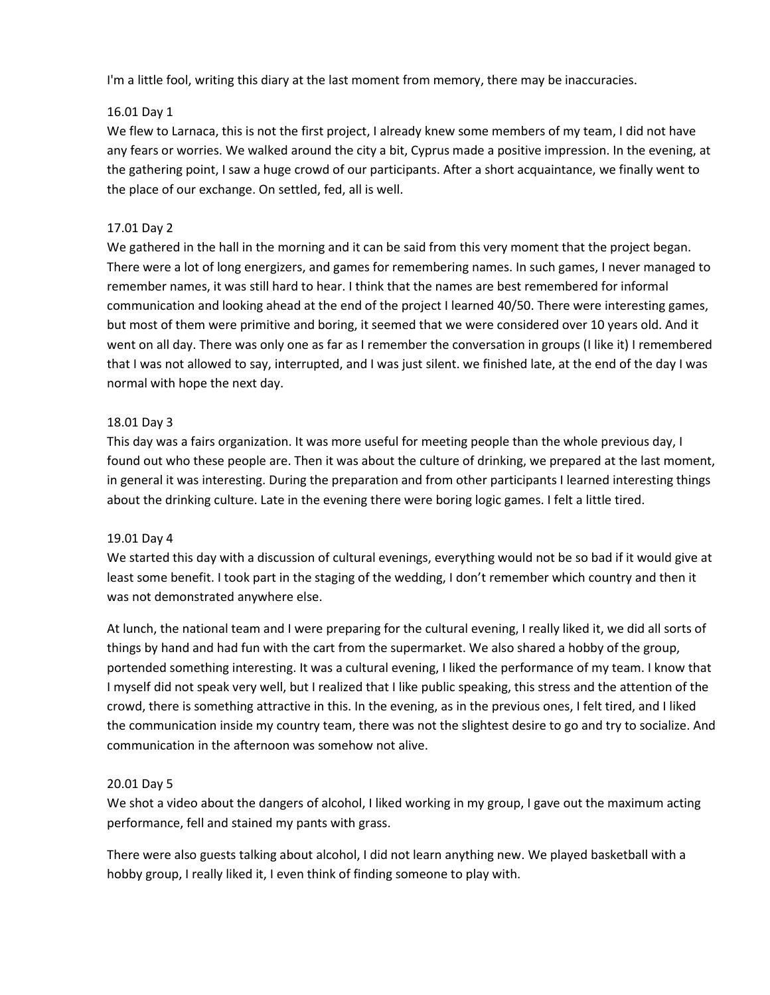I'm a little fool, writing this diary at the last moment from memory, there may be inaccuracies.

# 16.01 Day 1

We flew to Larnaca, this is not the first project, I already knew some members of my team, I did not have any fears or worries. We walked around the city a bit, Cyprus made a positive impression. In the evening, at the gathering point, I saw a huge crowd of our participants. After a short acquaintance, we finally went to the place of our exchange. On settled, fed, all is well.

# 17.01 Day 2

We gathered in the hall in the morning and it can be said from this very moment that the project began. There were a lot of long energizers, and games for remembering names. In such games, I never managed to remember names, it was still hard to hear. I think that the names are best remembered for informal communication and looking ahead at the end of the project I learned 40/50. There were interesting games, but most of them were primitive and boring, it seemed that we were considered over 10 years old. And it went on all day. There was only one as far as I remember the conversation in groups (I like it) I remembered that I was not allowed to say, interrupted, and I was just silent. we finished late, at the end of the day I was normal with hope the next day.

# 18.01 Day 3

This day was a fairs organization. It was more useful for meeting people than the whole previous day, I found out who these people are. Then it was about the culture of drinking, we prepared at the last moment, in general it was interesting. During the preparation and from other participants I learned interesting things about the drinking culture. Late in the evening there were boring logic games. I felt a little tired.

#### 19.01 Day 4

We started this day with a discussion of cultural evenings, everything would not be so bad if it would give at least some benefit. I took part in the staging of the wedding, I don't remember which country and then it was not demonstrated anywhere else.

At lunch, the national team and I were preparing for the cultural evening, I really liked it, we did all sorts of things by hand and had fun with the cart from the supermarket. We also shared a hobby of the group, portended something interesting. It was a cultural evening, I liked the performance of my team. I know that I myself did not speak very well, but I realized that I like public speaking, this stress and the attention of the crowd, there is something attractive in this. In the evening, as in the previous ones, I felt tired, and I liked the communication inside my country team, there was not the slightest desire to go and try to socialize. And communication in the afternoon was somehow not alive.

#### 20.01 Day 5

We shot a video about the dangers of alcohol, I liked working in my group, I gave out the maximum acting performance, fell and stained my pants with grass.

There were also guests talking about alcohol, I did not learn anything new. We played basketball with a hobby group, I really liked it, I even think of finding someone to play with.